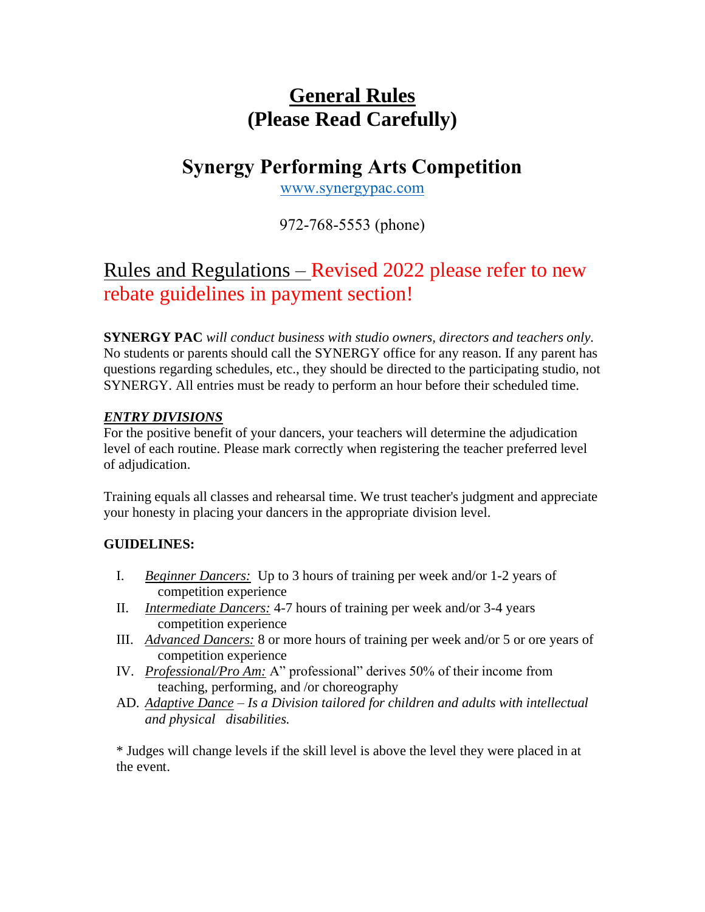# **General Rules (Please Read Carefully)**

# **Synergy Performing Arts Competition**

[www.synergypac.com](http://www.synergypac.com/)

972-768-5553 (phone)

## Rules and Regulations – Revised 2022 please refer to new rebate guidelines in payment section!

**SYNERGY PAC** *will conduct business with studio owners, directors and teachers only.*  No students or parents should call the SYNERGY office for any reason. If any parent has questions regarding schedules, etc., they should be directed to the participating studio, not SYNERGY. All entries must be ready to perform an hour before their scheduled time.

### *ENTRY DIVISIONS*

For the positive benefit of your dancers, your teachers will determine the adjudication level of each routine. Please mark correctly when registering the teacher preferred level of adjudication.

Training equals all classes and rehearsal time. We trust teacher's judgment and appreciate your honesty in placing your dancers in the appropriate division level.

## **GUIDELINES:**

- I. *Beginner Dancers:* Up to 3 hours of training per week and/or 1-2 years of competition experience
- II. *Intermediate Dancers:* 4-7 hours of training per week and/or 3-4 years competition experience
- III. *Advanced Dancers:* 8 or more hours of training per week and/or 5 or ore years of competition experience
- IV. *Professional/Pro Am:* A" professional" derives 50% of their income from teaching, performing, and /or choreography
- AD. *Adaptive Dance – Is a Division tailored for children and adults with intellectual and physical disabilities.*

\* Judges will change levels if the skill level is above the level they were placed in at the event.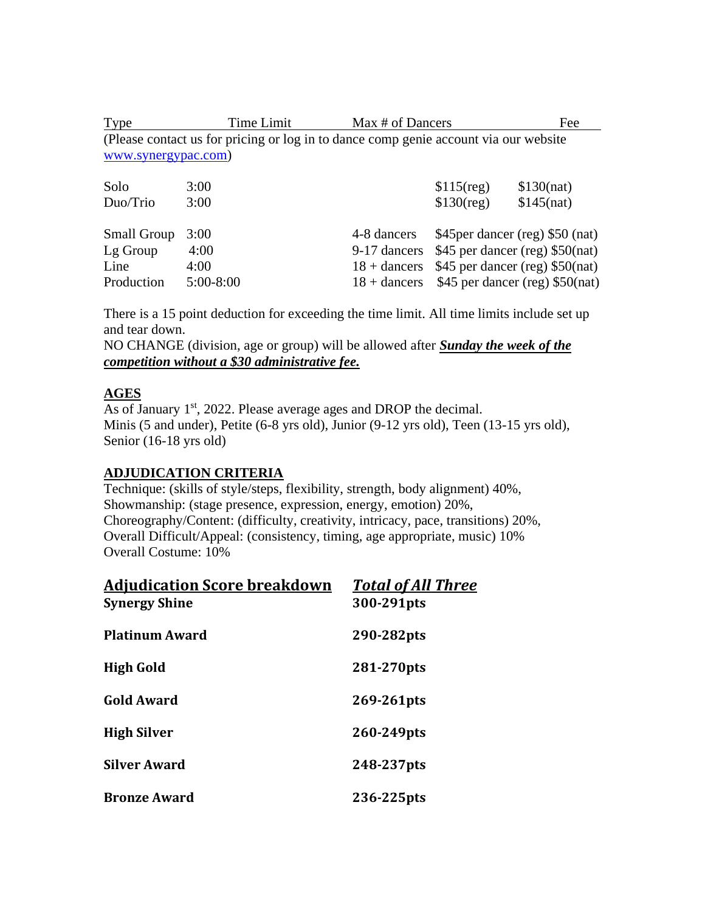Type Time Limit Max # of Dancers Fee (Please contact us for pricing or log in to dance comp genie account via our website [www.synergypac.com\)](http://www.synergypac.com/)

| Solo<br>Duo/Trio   | 3:00<br>3:00 |             | $$115$ (reg)<br>$$130$ (reg)                   | \$130(nat)<br>$$145$ (nat)                     |
|--------------------|--------------|-------------|------------------------------------------------|------------------------------------------------|
| <b>Small Group</b> | 3:00         | 4-8 dancers | \$45 per dancer (reg) \$50 (nat)               |                                                |
| Lg Group           | 4:00         |             | 9-17 dancers \$45 per dancer (reg) \$50(nat)   |                                                |
| Line               | 4:00         |             | $18 +$ dancers \$45 per dancer (reg) \$50(nat) |                                                |
| Production         | $5:00-8:00$  |             |                                                | $18 +$ dancers \$45 per dancer (reg) \$50(nat) |

There is a 15 point deduction for exceeding the time limit. All time limits include set up and tear down.

NO CHANGE (division, age or group) will be allowed after *Sunday the week of the competition without a \$30 administrative fee.*

#### **AGES**

As of January 1<sup>st</sup>, 2022. Please average ages and DROP the decimal. Minis (5 and under), Petite (6-8 yrs old), Junior (9-12 yrs old), Teen (13-15 yrs old), Senior (16-18 yrs old)

#### **ADJUDICATION CRITERIA**

Technique: (skills of style/steps, flexibility, strength, body alignment) 40%, Showmanship: (stage presence, expression, energy, emotion) 20%, Choreography/Content: (difficulty, creativity, intricacy, pace, transitions) 20%, Overall Difficult/Appeal: (consistency, timing, age appropriate, music) 10% Overall Costume: 10%

| <b>Adjudication Score breakdown</b> | <b>Total of All Three</b> |  |
|-------------------------------------|---------------------------|--|
| <b>Synergy Shine</b>                | 300-291pts                |  |
| <b>Platinum Award</b>               | 290-282pts                |  |
| <b>High Gold</b>                    | 281-270 pts               |  |
| <b>Gold Award</b>                   | 269-261pts                |  |
| <b>High Silver</b>                  | 260-249pts                |  |
| <b>Silver Award</b>                 | 248-237pts                |  |
| <b>Bronze Award</b>                 | 236-225pts                |  |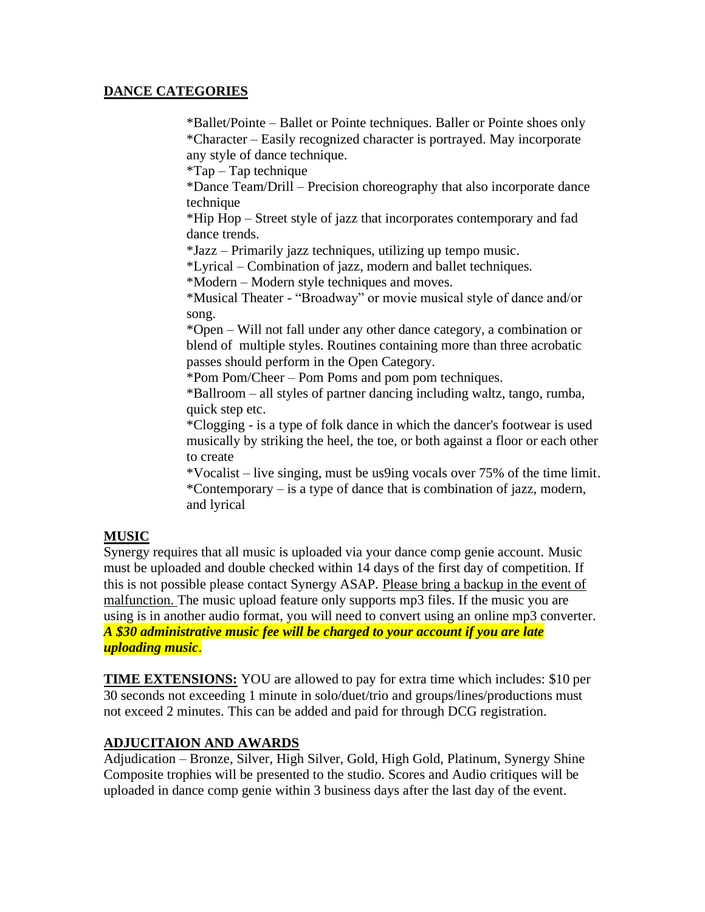#### **DANCE CATEGORIES**

\*Ballet/Pointe – Ballet or Pointe techniques. Baller or Pointe shoes only \*Character – Easily recognized character is portrayed. May incorporate any style of dance technique.

\*Tap – Tap technique

\*Dance Team/Drill – Precision choreography that also incorporate dance technique

\*Hip Hop – Street style of jazz that incorporates contemporary and fad dance trends.

\*Jazz – Primarily jazz techniques, utilizing up tempo music.

\*Lyrical – Combination of jazz, modern and ballet techniques.

\*Modern – Modern style techniques and moves.

\*Musical Theater - "Broadway" or movie musical style of dance and/or song.

\*Open – Will not fall under any other dance category, a combination or blend of multiple styles. Routines containing more than three acrobatic passes should perform in the Open Category.

\*Pom Pom/Cheer – Pom Poms and pom pom techniques.

\*Ballroom – all styles of partner dancing including waltz, tango, rumba, quick step etc.

\*Clogging - is a type of folk dance in which the dancer's footwear is used musically by striking the heel, the toe, or both against a floor or each other to create

\*Vocalist – live singing, must be us9ing vocals over 75% of the time limit. \*Contemporary – is a type of dance that is combination of jazz, modern, and lyrical

#### **MUSIC**

Synergy requires that all music is uploaded via your dance comp genie account. Music must be uploaded and double checked within 14 days of the first day of competition. If this is not possible please contact Synergy ASAP. Please bring a backup in the event of malfunction. The music upload feature only supports mp3 files. If the music you are using is in another audio format, you will need to convert using an online mp3 converter. *A \$30 administrative music fee will be charged to your account if you are late uploading music*.

**TIME EXTENSIONS:** YOU are allowed to pay for extra time which includes: \$10 per 30 seconds not exceeding 1 minute in solo/duet/trio and groups/lines/productions must not exceed 2 minutes. This can be added and paid for through DCG registration.

#### **ADJUCITAION AND AWARDS**

Adjudication – Bronze, Silver, High Silver, Gold, High Gold, Platinum, Synergy Shine Composite trophies will be presented to the studio. Scores and Audio critiques will be uploaded in dance comp genie within 3 business days after the last day of the event.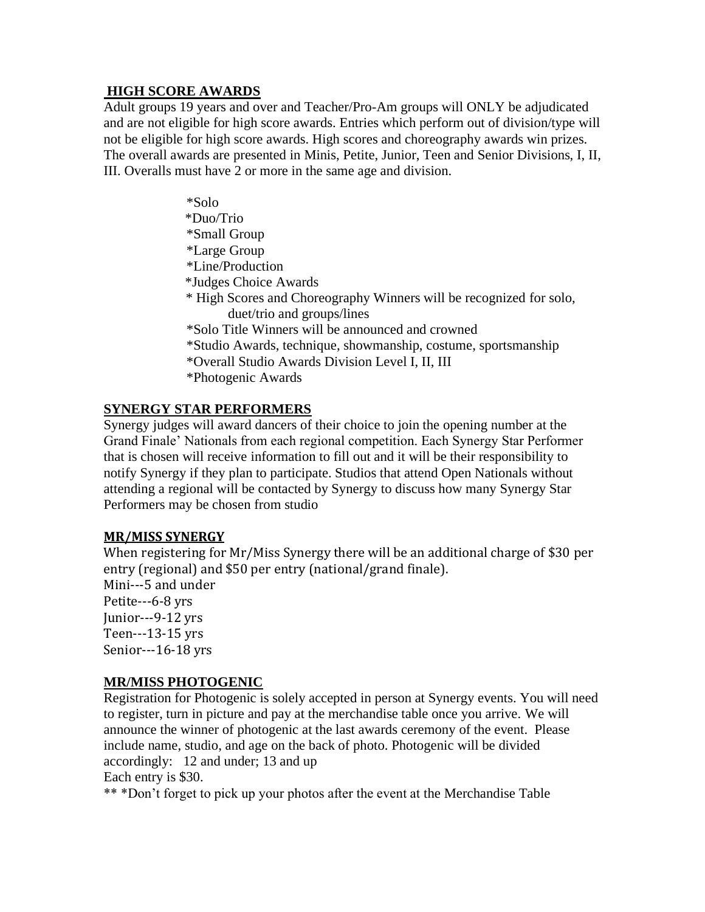#### **HIGH SCORE AWARDS**

Adult groups 19 years and over and Teacher/Pro-Am groups will ONLY be adjudicated and are not eligible for high score awards. Entries which perform out of division/type will not be eligible for high score awards. High scores and choreography awards win prizes. The overall awards are presented in Minis, Petite, Junior, Teen and Senior Divisions, I, II, III. Overalls must have 2 or more in the same age and division.

> \*Solo \*Duo/Trio \*Small Group \*Large Group \*Line/Production \*Judges Choice Awards \* High Scores and Choreography Winners will be recognized for solo, duet/trio and groups/lines \*Solo Title Winners will be announced and crowned \*Studio Awards, technique, showmanship, costume, sportsmanship \*Overall Studio Awards Division Level I, II, III \*Photogenic Awards

#### **SYNERGY STAR PERFORMERS**

Synergy judges will award dancers of their choice to join the opening number at the Grand Finale' Nationals from each regional competition. Each Synergy Star Performer that is chosen will receive information to fill out and it will be their responsibility to notify Synergy if they plan to participate. Studios that attend Open Nationals without attending a regional will be contacted by Synergy to discuss how many Synergy Star Performers may be chosen from studio

#### **MR/MISS SYNERGY**

When registering for Mr/Miss Synergy there will be an additional charge of \$30 per entry (regional) and \$50 per entry (national/grand finale). Mini---5 and under Petite---6-8 yrs Junior---9-12 yrs Teen---13-15 yrs Senior---16-18 yrs

#### **MR/MISS PHOTOGENIC**

Registration for Photogenic is solely accepted in person at Synergy events. You will need to register, turn in picture and pay at the merchandise table once you arrive. We will announce the winner of photogenic at the last awards ceremony of the event. Please include name, studio, and age on the back of photo. Photogenic will be divided accordingly: 12 and under; 13 and up Each entry is \$30.

\*\* \*Don't forget to pick up your photos after the event at the Merchandise Table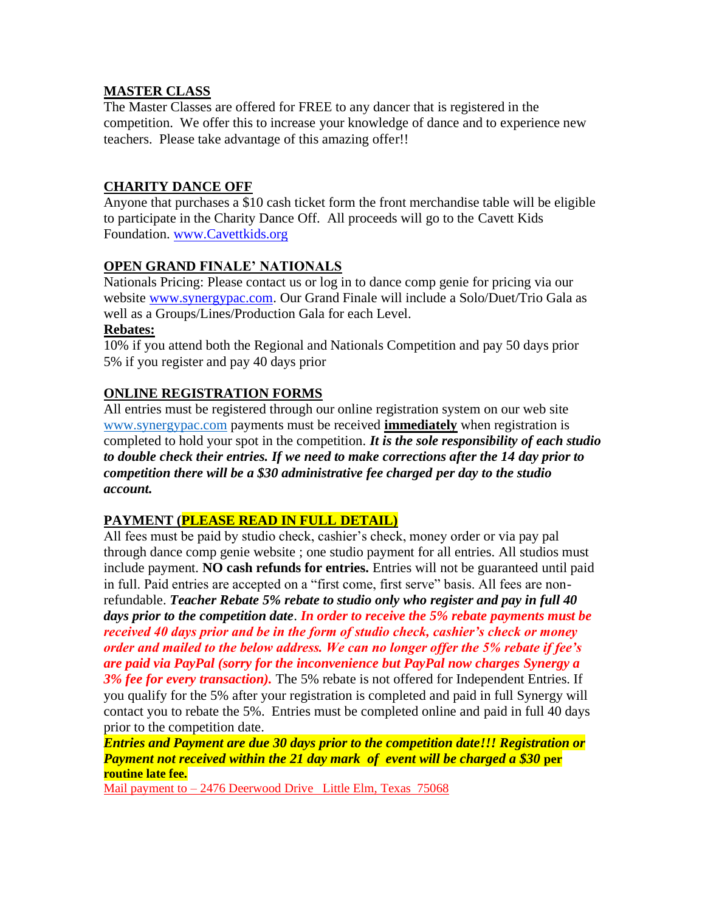#### **MASTER CLASS**

The Master Classes are offered for FREE to any dancer that is registered in the competition. We offer this to increase your knowledge of dance and to experience new teachers. Please take advantage of this amazing offer!!

## **CHARITY DANCE OFF**

Anyone that purchases a \$10 cash ticket form the front merchandise table will be eligible to participate in the Charity Dance Off. All proceeds will go to the Cavett Kids Foundation. [www.Cavettkids.org](http://www.cavettkids.org/)

## **OPEN GRAND FINALE' NATIONALS**

Nationals Pricing: Please contact us or log in to dance comp genie for pricing via our website [www.synergypac.com.](http://www.synergypac.com/) Our Grand Finale will include a Solo/Duet/Trio Gala as well as a Groups/Lines/Production Gala for each Level.

#### **Rebates:**

10% if you attend both the Regional and Nationals Competition and pay 50 days prior 5% if you register and pay 40 days prior

### **ONLINE REGISTRATION FORMS**

All entries must be registered through our online registration system on our web site [www.synergypac.com](http://www.synergypac.com/) payments must be received **immediately** when registration is completed to hold your spot in the competition. *It is the sole responsibility of each studio to double check their entries. If we need to make corrections after the 14 day prior to competition there will be a \$30 administrative fee charged per day to the studio account.*

#### **PAYMENT (PLEASE READ IN FULL DETAIL)**

All fees must be paid by studio check, cashier's check, money order or via pay pal through dance comp genie website ; one studio payment for all entries. All studios must include payment. **NO cash refunds for entries.** Entries will not be guaranteed until paid in full. Paid entries are accepted on a "first come, first serve" basis. All fees are nonrefundable. *Teacher Rebate 5% rebate to studio only who register and pay in full 40 days prior to the competition date*. *In order to receive the 5% rebate payments must be received 40 days prior and be in the form of studio check, cashier's check or money order and mailed to the below address. We can no longer offer the 5% rebate if fee's are paid via PayPal (sorry for the inconvenience but PayPal now charges Synergy a 3% fee for every transaction).* The 5% rebate is not offered for Independent Entries. If you qualify for the 5% after your registration is completed and paid in full Synergy will contact you to rebate the 5%. Entries must be completed online and paid in full 40 days prior to the competition date.

*Entries and Payment are due 30 days prior to the competition date!!! Registration or Payment not received within the 21 day mark of event will be charged a \$30* **per routine late fee.**

Mail payment to – 2476 Deerwood Drive Little Elm, Texas 75068